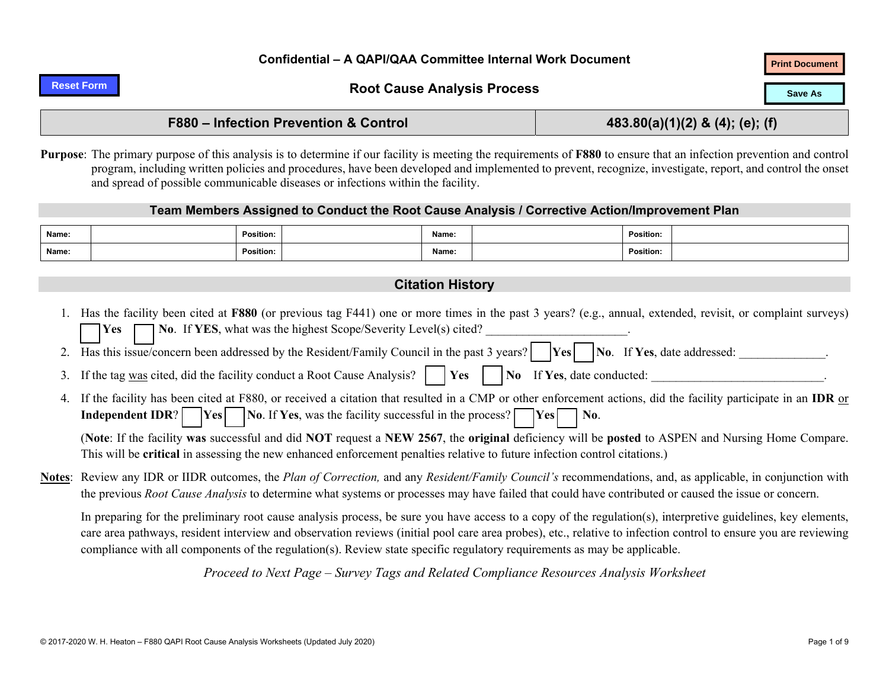#### **Reset Form**

# **Root Cause Analysis Process Print Document Revenue As Save Assembly Root Cause Analysis Process**

### **F880 – Infection Prevention & Control 483.80(a)(1)(2) & (4); (e); (f)**

**Purpose**: The primary purpose of this analysis is to determine if our facility is meeting the requirements of **F880** to ensure that an infection prevention and control program, including written policies and procedures, have been developed and implemented to prevent, recognize, investigate, report, and control the onset and spread of possible communicable diseases or infections within the facility.

#### **Team Members Assigned to Conduct the Root Cause Analysis / Corrective Action/Improvement Plan**

| Name: | <b>Position:</b> | Name: | <b>Position:</b> |  |
|-------|------------------|-------|------------------|--|
| Name: | Position:        | Name: | <b>Position:</b> |  |

### **Citation History**

- 1. Has the facility been cited at **F880** (or previous tag F441) one or more times in the past 3 years? (e.g., annual, extended, revisit, or complaint surveys) **YesNo.** If **YES**, what was the highest Scope/Severity Level(s) cited? 2. Has this issue/concern been addressed by the Resident/Family Council in the past 3 years? **No. If Yes**, date addressed:
- 3.If the tag was cited, did the facility conduct a Root Cause Analysis?  $\parallel$  **Yes**  $\parallel$  **No** If **Yes**, date conducted:
- 4. If the facility has been cited at F880, or received a citation that resulted in a CMP or other enforcement actions, did the facility participate in an **IDR** or **Independent IDR? Yes No**. If **Yes**, was the facility successful in the process? **Yes No.**

(**Note**: If the facility **was** successful and did **NOT** request a **NEW 2567**, the **original** deficiency will be **posted** to ASPEN and Nursing Home Compare. This will be **critical** in assessing the new enhanced enforcement penalties relative to future infection control citations.)

**Notes**: Review any IDR or IIDR outcomes, the *Plan of Correction,* and any *Resident/Family Council's* recommendations, and, as applicable, in conjunction with the previous *Root Cause Analysis* to determine what systems or processes may have failed that could have contributed or caused the issue or concern.

In preparing for the preliminary root cause analysis process, be sure you have access to a copy of the regulation(s), interpretive guidelines, key elements, care area pathways, resident interview and observation reviews (initial pool care area probes), etc., relative to infection control to ensure you are reviewing compliance with all components of the regulation(s). Review state specific regulatory requirements as may be applicable.

*Proceed to Next Page* – *Survey Tags and Related Compliance Resources Analysis Worksheet*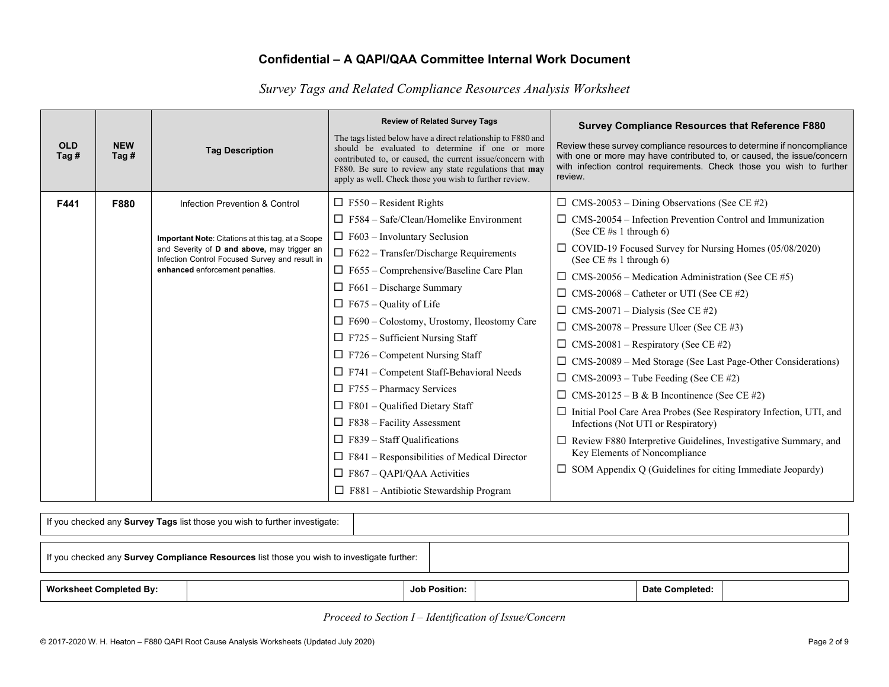*Survey Tags and Related Compliance Resources Analysis Worksheet*

| <b>OLD</b><br>Tag # | <b>NEW</b><br>Tag $#$ | <b>Tag Description</b>                                                                                                                                                                                                  | <b>Review of Related Survey Tags</b><br>The tags listed below have a direct relationship to F880 and<br>should be evaluated to determine if one or more<br>contributed to, or caused, the current issue/concern with<br>F880. Be sure to review any state regulations that may<br>apply as well. Check those you wish to further review.                                                    | <b>Survey Compliance Resources that Reference F880</b><br>Review these survey compliance resources to determine if noncompliance<br>with one or more may have contributed to, or caused, the issue/concern<br>with infection control requirements. Check those you wish to further<br>review.                                                                                                                                                                                                           |
|---------------------|-----------------------|-------------------------------------------------------------------------------------------------------------------------------------------------------------------------------------------------------------------------|---------------------------------------------------------------------------------------------------------------------------------------------------------------------------------------------------------------------------------------------------------------------------------------------------------------------------------------------------------------------------------------------|---------------------------------------------------------------------------------------------------------------------------------------------------------------------------------------------------------------------------------------------------------------------------------------------------------------------------------------------------------------------------------------------------------------------------------------------------------------------------------------------------------|
| F441                | F880                  | Infection Prevention & Control<br>Important Note: Citations at this tag, at a Scope<br>and Severity of D and above, may trigger an<br>Infection Control Focused Survey and result in<br>enhanced enforcement penalties. | $\Box$ F550 – Resident Rights<br>$\Box$ F584 – Safe/Clean/Homelike Environment<br>$\Box$ F603 – Involuntary Seclusion<br>$\Box$ F622 - Transfer/Discharge Requirements<br>$\Box$ F655 – Comprehensive/Baseline Care Plan<br>$\Box$ F661 – Discharge Summary<br>$\Box$ F675 – Quality of Life<br>$\Box$ F690 – Colostomy, Urostomy, Ileostomy Care<br>$\Box$ F725 – Sufficient Nursing Staff | $\Box$ CMS-20053 – Dining Observations (See CE #2)<br>$\Box$ CMS-20054 – Infection Prevention Control and Immunization<br>(See CE #s 1 through 6)<br>$\Box$ COVID-19 Focused Survey for Nursing Homes (05/08/2020)<br>(See CE $#s$ 1 through 6)<br>$\Box$ CMS-20056 – Medication Administration (See CE #5)<br>$\Box$ CMS-20068 – Catheter or UTI (See CE #2)<br>$\Box$ CMS-20071 – Dialysis (See CE #2)<br>$\Box$ CMS-20078 – Pressure Ulcer (See CE #3)<br>$\Box$ CMS-20081 – Respiratory (See CE #2) |
|                     |                       |                                                                                                                                                                                                                         | $\Box$ F726 – Competent Nursing Staff<br>$\Box$ F741 – Competent Staff-Behavioral Needs<br>$\Box$ F755 – Pharmacy Services<br>$\Box$ F801 – Qualified Dietary Staff<br>$\Box$ F838 – Facility Assessment<br>$\Box$ F839 – Staff Qualifications<br>$\Box$ F841 – Responsibilities of Medical Director<br>$\Box$ F867 – QAPI/QAA Activities<br>$\Box$ F881 - Antibiotic Stewardship Program   | $\Box$ CMS-20089 – Med Storage (See Last Page-Other Considerations)<br>$\Box$ CMS-20093 – Tube Feeding (See CE #2)<br>$\Box$ CMS-20125 – B & B Incontinence (See CE #2)<br>$\Box$ Initial Pool Care Area Probes (See Respiratory Infection, UTI, and<br>Infections (Not UTI or Respiratory)<br>□ Review F880 Interpretive Guidelines, Investigative Summary, and<br>Key Elements of Noncompliance<br>$\Box$ SOM Appendix Q (Guidelines for citing Immediate Jeopardy)                                   |

| If you checked any Survey Tags list those you wish to further investigate:                 |  |                      |  |                 |  |  |  |  |
|--------------------------------------------------------------------------------------------|--|----------------------|--|-----------------|--|--|--|--|
| If you checked any Survey Compliance Resources list those you wish to investigate further: |  |                      |  |                 |  |  |  |  |
| <b>Worksheet Completed By:</b>                                                             |  | <b>Job Position:</b> |  | Date Completed: |  |  |  |  |

*Proceed to Section I – Identification of Issue/Concern*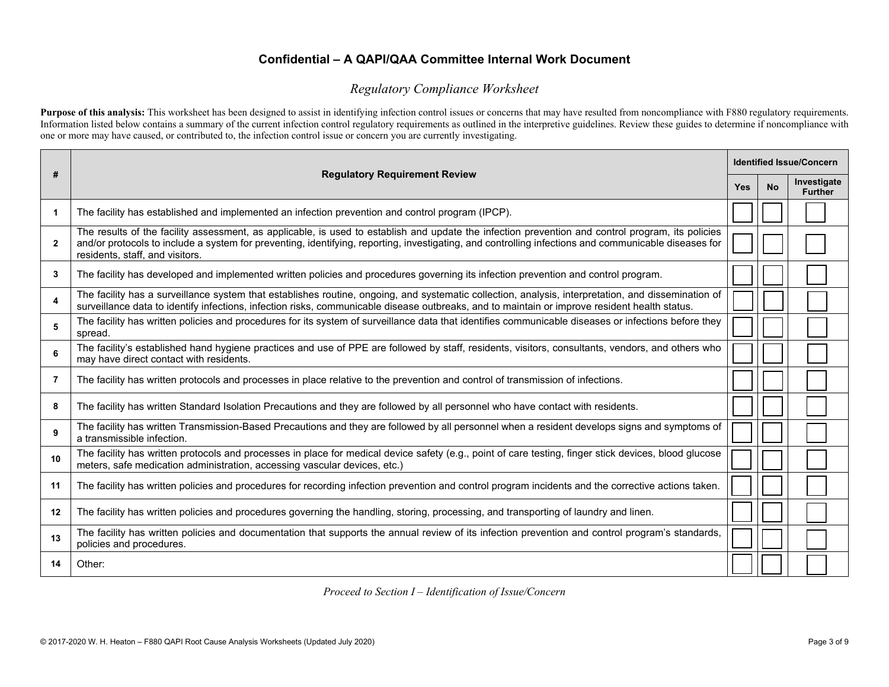### *Regulatory Compliance Worksheet*

Purpose of this analysis: This worksheet has been designed to assist in identifying infection control issues or concerns that may have resulted from noncompliance with F880 regulatory requirements. Information listed below contains a summary of the current infection control regulatory requirements as outlined in the interpretive guidelines. Review these guides to determine if noncompliance with one or more may have caused, or contributed to, the infection control issue or concern you are currently investigating.

| #              | <b>Identified Issue/Concern</b><br><b>Regulatory Requirement Review</b>                                                                                                                                                                                                                                                                      |            |           |                               |  |  |  |
|----------------|----------------------------------------------------------------------------------------------------------------------------------------------------------------------------------------------------------------------------------------------------------------------------------------------------------------------------------------------|------------|-----------|-------------------------------|--|--|--|
|                |                                                                                                                                                                                                                                                                                                                                              | <b>Yes</b> | <b>No</b> | Investigate<br><b>Further</b> |  |  |  |
| $\mathbf{1}$   | The facility has established and implemented an infection prevention and control program (IPCP).                                                                                                                                                                                                                                             |            |           |                               |  |  |  |
| $\overline{2}$ | The results of the facility assessment, as applicable, is used to establish and update the infection prevention and control program, its policies<br>and/or protocols to include a system for preventing, identifying, reporting, investigating, and controlling infections and communicable diseases for<br>residents, staff, and visitors. |            |           |                               |  |  |  |
| 3              | The facility has developed and implemented written policies and procedures governing its infection prevention and control program.                                                                                                                                                                                                           |            |           |                               |  |  |  |
| 4              | The facility has a surveillance system that establishes routine, ongoing, and systematic collection, analysis, interpretation, and dissemination of<br>surveillance data to identify infections, infection risks, communicable disease outbreaks, and to maintain or improve resident health status.                                         |            |           |                               |  |  |  |
| 5              | The facility has written policies and procedures for its system of surveillance data that identifies communicable diseases or infections before they<br>spread.                                                                                                                                                                              |            |           |                               |  |  |  |
| 6              | The facility's established hand hygiene practices and use of PPE are followed by staff, residents, visitors, consultants, vendors, and others who<br>may have direct contact with residents.                                                                                                                                                 |            |           |                               |  |  |  |
| $\overline{7}$ | The facility has written protocols and processes in place relative to the prevention and control of transmission of infections.                                                                                                                                                                                                              |            |           |                               |  |  |  |
| 8              | The facility has written Standard Isolation Precautions and they are followed by all personnel who have contact with residents.                                                                                                                                                                                                              |            |           |                               |  |  |  |
| 9              | The facility has written Transmission-Based Precautions and they are followed by all personnel when a resident develops signs and symptoms of<br>a transmissible infection.                                                                                                                                                                  |            |           |                               |  |  |  |
| 10             | The facility has written protocols and processes in place for medical device safety (e.g., point of care testing, finger stick devices, blood glucose<br>meters, safe medication administration, accessing vascular devices, etc.)                                                                                                           |            |           |                               |  |  |  |
| 11             | The facility has written policies and procedures for recording infection prevention and control program incidents and the corrective actions taken.                                                                                                                                                                                          |            |           |                               |  |  |  |
| 12             | The facility has written policies and procedures governing the handling, storing, processing, and transporting of laundry and linen.                                                                                                                                                                                                         |            |           |                               |  |  |  |
| 13             | The facility has written policies and documentation that supports the annual review of its infection prevention and control program's standards,<br>policies and procedures.                                                                                                                                                                 |            |           |                               |  |  |  |
| 14             | Other:                                                                                                                                                                                                                                                                                                                                       |            |           |                               |  |  |  |

*Proceed to Section I – Identification of Issue/Concern*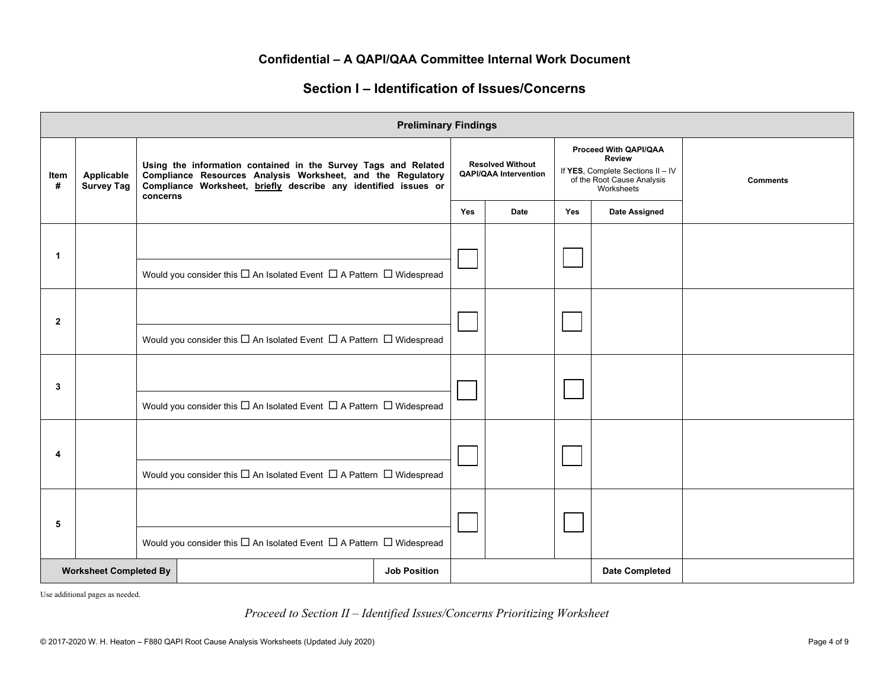### **Section I – Identification of Issues/Concerns**

|                | <b>Preliminary Findings</b>     |                                                                                                                                                                                                              |                                                                                              |                                                         |            |                                                                                                                         |     |                       |  |
|----------------|---------------------------------|--------------------------------------------------------------------------------------------------------------------------------------------------------------------------------------------------------------|----------------------------------------------------------------------------------------------|---------------------------------------------------------|------------|-------------------------------------------------------------------------------------------------------------------------|-----|-----------------------|--|
| Item<br>#      | Applicable<br><b>Survey Tag</b> | Using the information contained in the Survey Tags and Related<br>Compliance Resources Analysis Worksheet, and the Regulatory<br>Compliance Worksheet, briefly describe any identified issues or<br>concerns |                                                                                              | <b>Resolved Without</b><br><b>QAPI/QAA Intervention</b> |            | Proceed With QAPI/QAA<br><b>Review</b><br>If YES, Complete Sections II - IV<br>of the Root Cause Analysis<br>Worksheets |     | <b>Comments</b>       |  |
|                |                                 |                                                                                                                                                                                                              |                                                                                              |                                                         | <b>Yes</b> | Date                                                                                                                    | Yes | <b>Date Assigned</b>  |  |
| 1              |                                 |                                                                                                                                                                                                              | Would you consider this $\Box$ An Isolated Event $\Box$ A Pattern $\Box$ Widespread          |                                                         |            |                                                                                                                         |     |                       |  |
| $\overline{2}$ |                                 |                                                                                                                                                                                                              | Would you consider this $\square$ An Isolated Event $\square$ A Pattern $\square$ Widespread |                                                         |            |                                                                                                                         |     |                       |  |
| 3              |                                 |                                                                                                                                                                                                              | Would you consider this $\square$ An Isolated Event $\square$ A Pattern $\square$ Widespread |                                                         |            |                                                                                                                         |     |                       |  |
| 4              |                                 |                                                                                                                                                                                                              | Would you consider this $\square$ An Isolated Event $\square$ A Pattern $\square$ Widespread |                                                         |            |                                                                                                                         |     |                       |  |
| 5              |                                 |                                                                                                                                                                                                              | Would you consider this $\square$ An Isolated Event $\square$ A Pattern $\square$ Widespread |                                                         |            |                                                                                                                         |     |                       |  |
|                | <b>Worksheet Completed By</b>   |                                                                                                                                                                                                              |                                                                                              | <b>Job Position</b>                                     |            |                                                                                                                         |     | <b>Date Completed</b> |  |

Use additional pages as needed.

#### *Proceed to Section II – Identified Issues/Concerns Prioritizing Worksheet*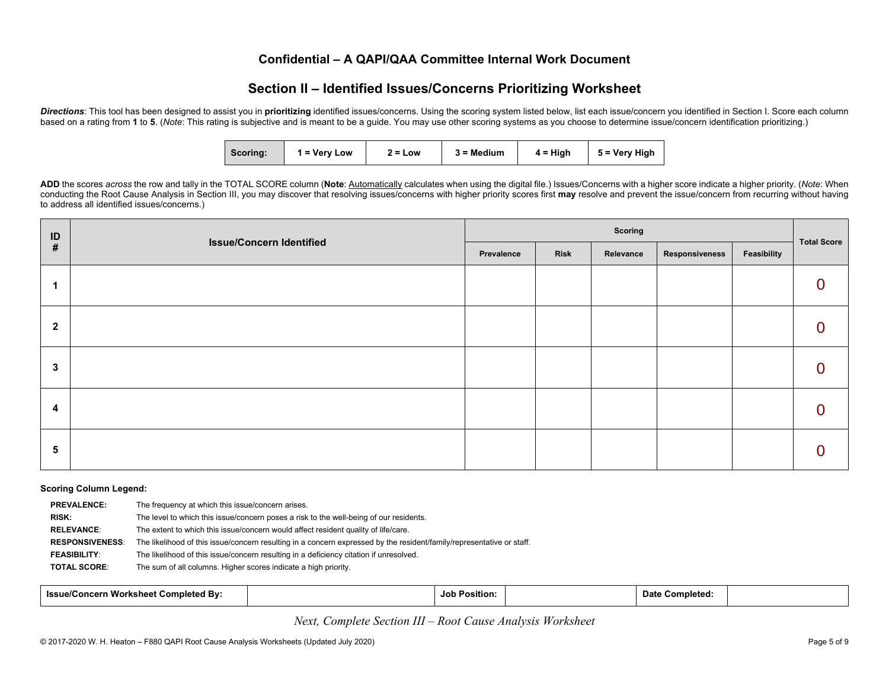## **Section II – Identified Issues/Concerns Prioritizing Worksheet**

**Directions**: This tool has been designed to assist you in **prioritizing** identified issues/concerns. Using the scoring system listed below, list each issue/concern you identified in Section I. Score each column based on a rating from **1** to **5**. (*Note*: This rating is subjective and is meant to be a guide. You may use other scoring systems as you choose to determine issue/concern identification prioritizing.)

| Scoring: | $1 = V$ ery Low | $2 = Low$ | 3 = Medium | $4 = High$ | $\vert$ 5 = Very High |
|----------|-----------------|-----------|------------|------------|-----------------------|
|----------|-----------------|-----------|------------|------------|-----------------------|

ADD the scores across the row and tally in the TOTAL SCORE column (Note: Automatically calculates when using the digital file.) Issues/Concerns with a higher score indicate a higher priority. (Note: When conducting the Root Cause Analysis in Section III, you may discover that resolving issues/concerns with higher priority scores first **may** resolve and prevent the issue/concern from recurring without having to address all identified issues/concerns.)

| ID           | <b>Issue/Concern Identified</b> |            | <b>Total Score</b> |           |                |             |   |
|--------------|---------------------------------|------------|--------------------|-----------|----------------|-------------|---|
| #            |                                 | Prevalence | <b>Risk</b>        | Relevance | Responsiveness | Feasibility |   |
|              |                                 |            |                    |           |                |             | 0 |
| $\mathbf{2}$ |                                 |            |                    |           |                |             | 0 |
| 3            |                                 |            |                    |           |                |             | 0 |
| 4            |                                 |            |                    |           |                |             | 0 |
| 5            |                                 |            |                    |           |                |             | 0 |

#### **Scoring Column Legend:**

| <b>PREVALENCE:</b>     | The frequency at which this issue/concern arises.                                                                     |
|------------------------|-----------------------------------------------------------------------------------------------------------------------|
| RISK:                  | The level to which this issue/concern poses a risk to the well-being of our residents.                                |
| <b>RELEVANCE:</b>      | The extent to which this issue/concern would affect resident quality of life/care.                                    |
| <b>RESPONSIVENESS:</b> | The likelihood of this issue/concern resulting in a concern expressed by the resident/family/representative or staff. |
| <b>FEASIBILITY:</b>    | The likelihood of this issue/concern resulting in a deficiency citation if unresolved.                                |
| <b>TOTAL SCORE:</b>    | The sum of all columns. Higher scores indicate a high priority.                                                       |

| n Worksheet Completed By:<br><b>Issue/Concern</b> | <b>Job Position:</b> | Completed:<br>Date 1 |  |
|---------------------------------------------------|----------------------|----------------------|--|
|---------------------------------------------------|----------------------|----------------------|--|

*Next, Complete Section III – Root Cause Analysis Worksheet*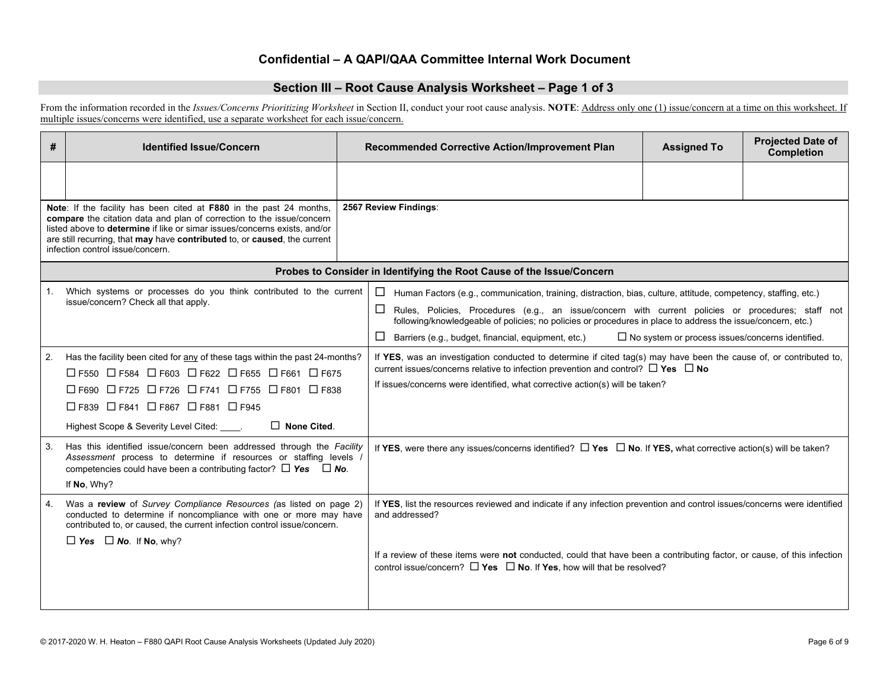#### **Section III – Root Cause Analysis Worksheet – Page 1 of 3**

From the information recorded in the *Issues/Concerns Prioritizing Worksheet* in Section II, conduct your root cause analysis. **NOTE**: Address only one (1) issue/concern at a time on this worksheet. If multiple issues/concerns were identified, use a separate worksheet for each issue/concern.

| #  | <b>Identified Issue/Concern</b>                                                                                                                                                                                                                                                                                                            | Recommended Corrective Action/Improvement Plan                                                                                                                                                            | <b>Assigned To</b>                                                                                                                                                                                                                                                                               | <b>Projected Date of</b><br><b>Completion</b> |  |  |
|----|--------------------------------------------------------------------------------------------------------------------------------------------------------------------------------------------------------------------------------------------------------------------------------------------------------------------------------------------|-----------------------------------------------------------------------------------------------------------------------------------------------------------------------------------------------------------|--------------------------------------------------------------------------------------------------------------------------------------------------------------------------------------------------------------------------------------------------------------------------------------------------|-----------------------------------------------|--|--|
|    |                                                                                                                                                                                                                                                                                                                                            |                                                                                                                                                                                                           |                                                                                                                                                                                                                                                                                                  |                                               |  |  |
|    | Note: If the facility has been cited at F880 in the past 24 months,<br>compare the citation data and plan of correction to the issue/concern<br>listed above to determine if like or simar issues/concerns exists, and/or<br>are still recurring, that may have contributed to, or caused, the current<br>infection control issue/concern. | 2567 Review Findings:                                                                                                                                                                                     |                                                                                                                                                                                                                                                                                                  |                                               |  |  |
|    |                                                                                                                                                                                                                                                                                                                                            | Probes to Consider in Identifying the Root Cause of the Issue/Concern                                                                                                                                     |                                                                                                                                                                                                                                                                                                  |                                               |  |  |
| 1. | Which systems or processes do you think contributed to the current<br>issue/concern? Check all that apply.                                                                                                                                                                                                                                 | $\Box$<br>Human Factors (e.g., communication, training, distraction, bias, culture, attitude, competency, staffing, etc.)                                                                                 |                                                                                                                                                                                                                                                                                                  |                                               |  |  |
|    |                                                                                                                                                                                                                                                                                                                                            | ப                                                                                                                                                                                                         | Rules, Policies, Procedures (e.g., an issue/concern with current policies or procedures; staff not<br>following/knowledgeable of policies; no policies or procedures in place to address the issue/concern, etc.)                                                                                |                                               |  |  |
|    |                                                                                                                                                                                                                                                                                                                                            | $\Box$<br>Barriers (e.g., budget, financial, equipment, etc.)                                                                                                                                             | $\Box$ No system or process issues/concerns identified.                                                                                                                                                                                                                                          |                                               |  |  |
| 2. | Has the facility been cited for any of these tags within the past 24-months?<br>□ F550 □ F584 □ F603 □ F622 □ F655 □ F661 □ F675<br>口F690 口F725 口F726 口F741 口F755 口F801 口F838<br>□ F839 □ F841 □ F867 □ F881 □ F945<br>Highest Scope & Severity Level Cited: ____.<br>$\Box$ None Cited.                                                   |                                                                                                                                                                                                           | If YES, was an investigation conducted to determine if cited tag(s) may have been the cause of, or contributed to,<br>current issues/concerns relative to infection prevention and control? $\Box$ Yes $\Box$ No<br>If issues/concerns were identified, what corrective action(s) will be taken? |                                               |  |  |
| 3. | Has this identified issue/concern been addressed through the Facility<br>Assessment process to determine if resources or staffing levels<br>competencies could have been a contributing factor? $\Box$ Yes $\Box$ No.<br>If No. Why?                                                                                                       | If YES, were there any issues/concerns identified? $\Box$ Yes $\Box$ No. If YES, what corrective action(s) will be taken?                                                                                 |                                                                                                                                                                                                                                                                                                  |                                               |  |  |
| 4. | Was a review of Survey Compliance Resources (as listed on page 2)<br>conducted to determine if noncompliance with one or more may have<br>contributed to, or caused, the current infection control issue/concern.<br>$\Box$ Yes $\Box$ No. If No, why?                                                                                     | If YES, list the resources reviewed and indicate if any infection prevention and control issues/concerns were identified<br>and addressed?                                                                |                                                                                                                                                                                                                                                                                                  |                                               |  |  |
|    |                                                                                                                                                                                                                                                                                                                                            | If a review of these items were not conducted, could that have been a contributing factor, or cause, of this infection<br>control issue/concern? $\Box$ Yes $\Box$ No. If Yes, how will that be resolved? |                                                                                                                                                                                                                                                                                                  |                                               |  |  |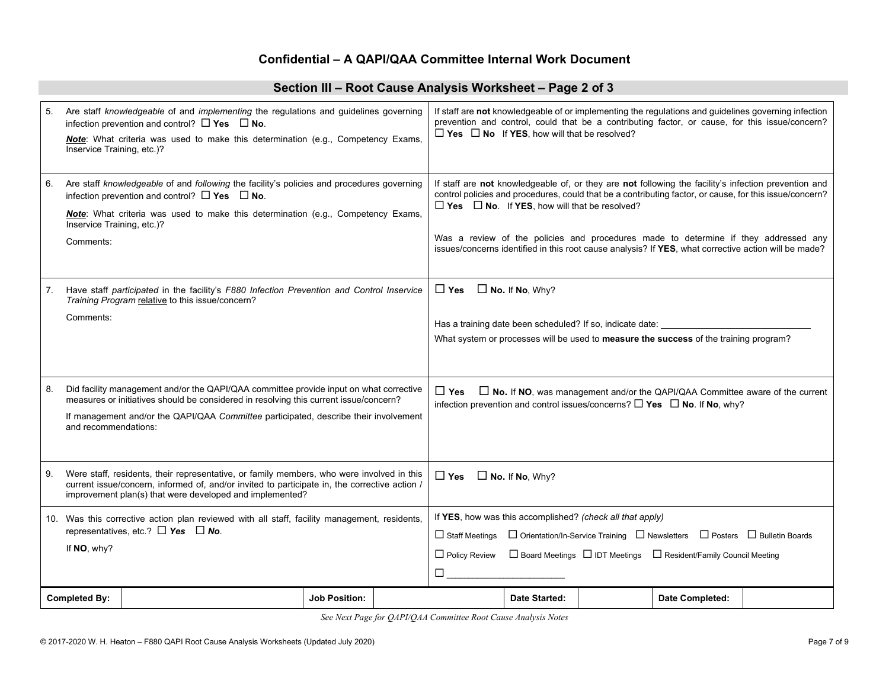### **Section III – Root Cause Analysis Worksheet – Page 2 of 3**

| 5 <sub>1</sub> | Are staff knowledgeable of and implementing the regulations and guidelines governing<br>infection prevention and control? $\Box$ Yes $\Box$ No.<br>Note: What criteria was used to make this determination (e.g., Competency Exams,<br>Inservice Training, etc.)?                               |                      | If staff are not knowledgeable of or implementing the regulations and guidelines governing infection<br>prevention and control, could that be a contributing factor, or cause, for this issue/concern?<br>$\Box$ Yes $\Box$ No If YES, how will that be resolved?        |                                                          |  |                                                                                                                                                                                                                                                                                                                                                                                                                |  |  |
|----------------|-------------------------------------------------------------------------------------------------------------------------------------------------------------------------------------------------------------------------------------------------------------------------------------------------|----------------------|--------------------------------------------------------------------------------------------------------------------------------------------------------------------------------------------------------------------------------------------------------------------------|----------------------------------------------------------|--|----------------------------------------------------------------------------------------------------------------------------------------------------------------------------------------------------------------------------------------------------------------------------------------------------------------------------------------------------------------------------------------------------------------|--|--|
| 6.             | Are staff knowledgeable of and following the facility's policies and procedures governing<br>infection prevention and control? $\Box$ Yes $\Box$ No.<br><b>Note:</b> What criteria was used to make this determination (e.g., Competency Exams,<br>Inservice Training, etc.)?<br>Comments:      |                      |                                                                                                                                                                                                                                                                          | $\Box$ Yes $\Box$ No. If YES, how will that be resolved? |  | If staff are not knowledgeable of, or they are not following the facility's infection prevention and<br>control policies and procedures, could that be a contributing factor, or cause, for this issue/concern?<br>Was a review of the policies and procedures made to determine if they addressed any<br>issues/concerns identified in this root cause analysis? If YES, what corrective action will be made? |  |  |
|                | Have staff participated in the facility's F880 Infection Prevention and Control Inservice<br>Training Program relative to this issue/concern?<br>Comments:                                                                                                                                      |                      | $\Box$ No. If No, Why?<br>$\Box$ Yes<br>Has a training date been scheduled? If so, indicate date:<br>What system or processes will be used to measure the success of the training program?                                                                               |                                                          |  |                                                                                                                                                                                                                                                                                                                                                                                                                |  |  |
| 8.             | Did facility management and/or the QAPI/QAA committee provide input on what corrective<br>measures or initiatives should be considered in resolving this current issue/concern?<br>If management and/or the QAPI/QAA Committee participated, describe their involvement<br>and recommendations: |                      | $\Box$ Yes                                                                                                                                                                                                                                                               |                                                          |  | $\Box$ No. If NO, was management and/or the QAPI/QAA Committee aware of the current<br>infection prevention and control issues/concerns? $\Box$ Yes $\Box$ No. If No, why?                                                                                                                                                                                                                                     |  |  |
| 9.             | Were staff, residents, their representative, or family members, who were involved in this<br>current issue/concern, informed of, and/or invited to participate in, the corrective action /<br>improvement plan(s) that were developed and implemented?                                          |                      | $\Box$ Yes<br>$\Box$ No. If No, Why?                                                                                                                                                                                                                                     |                                                          |  |                                                                                                                                                                                                                                                                                                                                                                                                                |  |  |
|                | 10. Was this corrective action plan reviewed with all staff, facility management, residents,<br>representatives, etc.? $\Box$ Yes $\Box$ No.<br>If NO, why?                                                                                                                                     |                      | If YES, how was this accomplished? (check all that apply)<br>□ Orientation/In-Service Training □ Newsletters □ Posters □ Bulletin Boards<br>$\Box$ Staff Meetings<br>$\Box$ Policy Review<br>□ Board Meetings □ IDT Meetings □ Resident/Family Council Meeting<br>$\Box$ |                                                          |  |                                                                                                                                                                                                                                                                                                                                                                                                                |  |  |
|                | <b>Completed By:</b>                                                                                                                                                                                                                                                                            | <b>Job Position:</b> |                                                                                                                                                                                                                                                                          | Date Started:                                            |  | Date Completed:                                                                                                                                                                                                                                                                                                                                                                                                |  |  |

*See Next Page for QAPI/QAA Committee Root Cause Analysis Notes*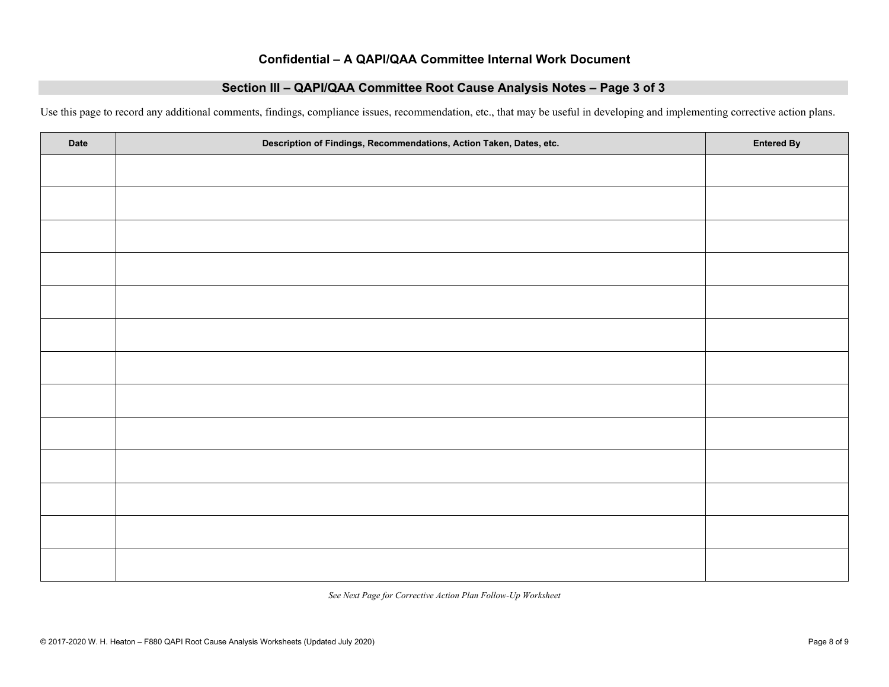#### **Section III – QAPI/QAA Committee Root Cause Analysis Notes – Page 3 of 3**

Use this page to record any additional comments, findings, compliance issues, recommendation, etc., that may be useful in developing and implementing corrective action plans.

| Date | Description of Findings, Recommendations, Action Taken, Dates, etc. | <b>Entered By</b> |
|------|---------------------------------------------------------------------|-------------------|
|      |                                                                     |                   |
|      |                                                                     |                   |
|      |                                                                     |                   |
|      |                                                                     |                   |
|      |                                                                     |                   |
|      |                                                                     |                   |
|      |                                                                     |                   |
|      |                                                                     |                   |
|      |                                                                     |                   |
|      |                                                                     |                   |
|      |                                                                     |                   |
|      |                                                                     |                   |
|      |                                                                     |                   |

*See Next Page for Corrective Action Plan Follow-Up Worksheet*